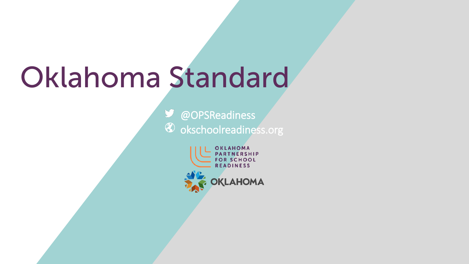# Oklahoma Standard

**M** @OPSReadiness  $\circledast$  okschoolreadiness.org

> OKLAHOMA PARTNERSHIP **FOR SCHOOL READINESS** OKLAHOMA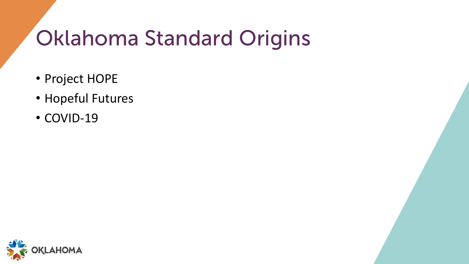## Oklahoma Standard Origins

- Project HOPE
- Hopeful Futures
- COVID-19

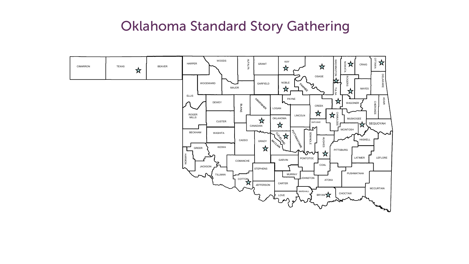### Oklahoma Standard Story Gathering

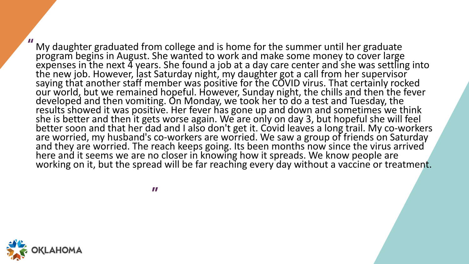My daughter graduated from college and is home for the summer until her graduate program begins in August. She wanted to work and make some money to cover large expenses in the next  $\frac{3}{4}$  years. She found a job at a day care center and she was settling into the new job. However, last Saturday night, my daughter got a call from her supervisor saying that another staff member was positive for the COVID virus. That certainly rocked our world, but we remained hopeful. However, Sunday night, the chills and then the fever developed and then vomiting. On Monday, we took her to do a test and Tuesday, the results showed it was positive. Her fever has gone up and down and sometimes we think she is better and then it gets worse again. We are only on day 3, but hopeful she will feel better soon and that her dad and I also don't get it. Covid leaves a long trail. My co-workers are worried, my husband's co-workers are worried. We saw a group of friends on Saturday<br>and they are worried. The reach keeps going. Its been months now since the virus arrived here and it seems we are no closer in knowing how it spreads. We know people are working on it, but the spread will be far reaching every day without a vaccine or treatment. "

"

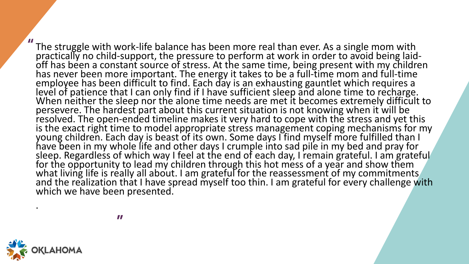The struggle with work-life balance has been more real than ever. As a single mom with practically no child-support, the pressure to perform at work in order to avoid being laid-<br>off has been a constant source of stress. A has never been more important. The energy it takes to be a full-time mom and full-time employee has been difficult to find. Each day is an exhausting gauntlet which requires a level of patience that I can only find if I have sufficient sleep and alone time to recharge. When neither the sleep nor the alone time needs are met it becomes extremely difficult to persevere. The hardest part about this current situation is not knowing when it will be resolved. The open-ended timeline makes it very hard to cope with the stress and yet this resolved. The open-ended timeline makes it very hard to cope with the stress and yet this<br>is the exact right time to model appropriate stress management coping mechanisms for my young children. Each day is beast of its own. Some days I find myself more fulfilled than I have been in my whole life and other days I crumple into sad pile in my bed and pray for sleep. Regardless of which way I feel at the end of each day, I remain grateful. I am grateful for the opportunity to lead my children through this hot mess of a year and show them what living life is really all about. I am grateful for the reassessment of my commitments and the realization that I have spread myself too thin. I am grateful for every challenge with which we have been presented. "

"



.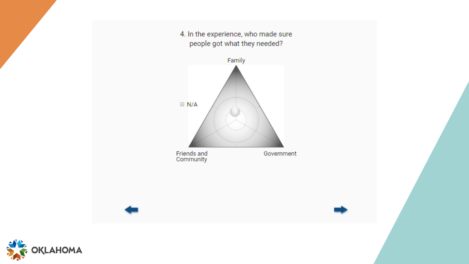4. In the experience, who made sure people got what they needed?



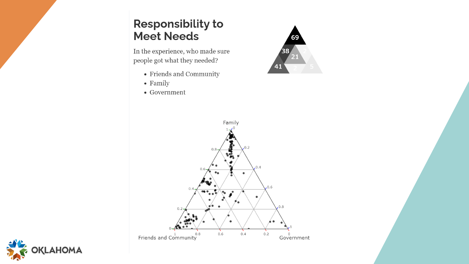#### **Responsibility to** Meet Needs

In the experience, who made sure people got what they needed?

- Friends and Community
- $\bullet$  Family
- Government





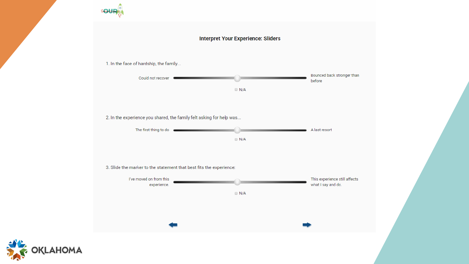#### **Interpret Your Experience: Sliders**

1. In the face of hardship, the family...



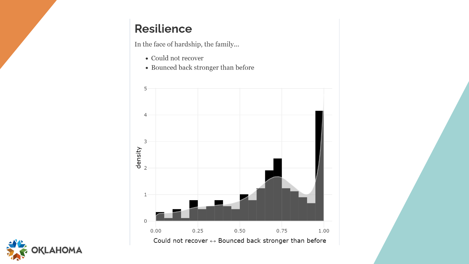#### **Resilience**

In the face of hardship, the family...

- $\bullet\,$  Could not recover
- Bounced back stronger than before